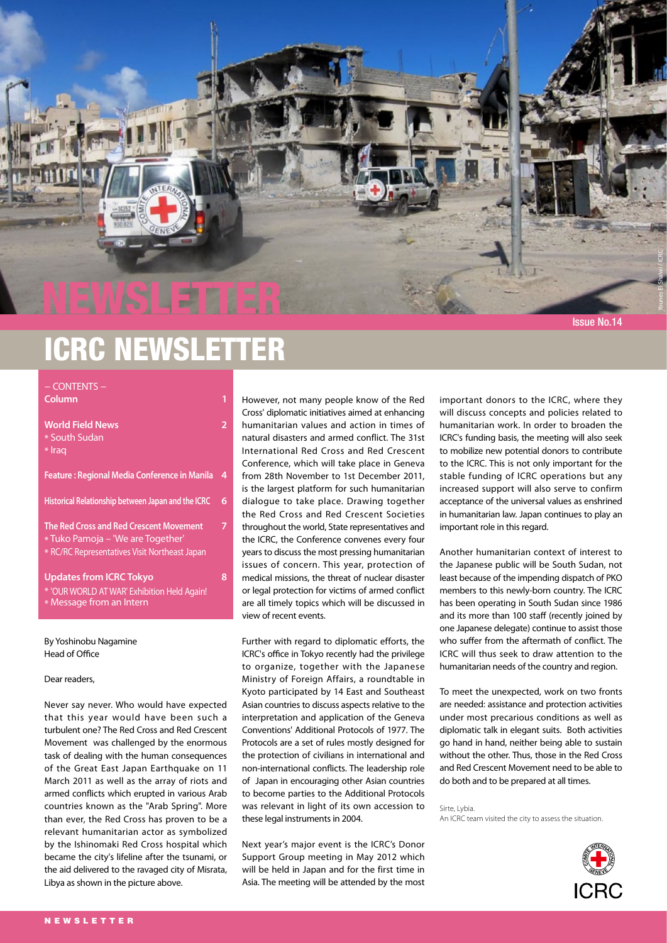

NEWSLETTER

| <b>World Field News</b><br>* South Sudan<br>* Iraq                                                                                   | 2 |
|--------------------------------------------------------------------------------------------------------------------------------------|---|
| <b>Feature: Regional Media Conference in Manila</b>                                                                                  | 4 |
| Historical Relationship between Japan and the ICRC                                                                                   | 6 |
| <b>The Red Cross and Red Crescent Movement</b><br>* Tuko Pamoja – 'We are Together'<br>* RC/RC Representatives Visit Northeast Japan | 7 |
| <b>Updates from ICRC Tokyo</b><br>* 'OUR WORLD AT WAR' Exhibition Held Again!<br>* Message from an Intern                            | 8 |

By Yoshinobu Nagamine Head of Office

#### Dear readers,

Never say never. Who would have expected that this year would have been such a turbulent one? The Red Cross and Red Crescent Movement was challenged by the enormous task of dealing with the human consequences of the Great East Japan Earthquake on 11 March 2011 as well as the array of riots and armed conflicts which erupted in various Arab countries known as the "Arab Spring". More than ever, the Red Cross has proven to be a relevant humanitarian actor as symbolized by the Ishinomaki Red Cross hospital which became the city's lifeline after the tsunami, or the aid delivered to the ravaged city of Misrata, Libya as shown in the picture above.

However, not many people know of the Red Cross' diplomatic initiatives aimed at enhancing humanitarian values and action in times of natural disasters and armed conflict. The 31st International Red Cross and Red Crescent Conference, which will take place in Geneva from 28th November to 1st December 2011, is the largest platform for such humanitarian dialogue to take place. Drawing together the Red Cross and Red Crescent Societies throughout the world, State representatives and the ICRC, the Conference convenes every four years to discuss the most pressing humanitarian issues of concern. This year, protection of medical missions, the threat of nuclear disaster or legal protection for victims of armed conflict are all timely topics which will be discussed in view of recent events.

Further with regard to diplomatic efforts, the ICRC's office in Tokyo recently had the privilege to organize, together with the Japanese Ministry of Foreign Affairs, a roundtable in Kyoto participated by 14 East and Southeast Asian countries to discuss aspects relative to the interpretation and application of the Geneva Conventions' Additional Protocols of 1977. The Protocols are a set of rules mostly designed for the protection of civilians in international and non-international conflicts. The leadership role of Japan in encouraging other Asian countries to become parties to the Additional Protocols was relevant in light of its own accession to these legal instruments in 2004.

Next year's major event is the ICRC's Donor Support Group meeting in May 2012 which will be held in Japan and for the first time in Asia. The meeting will be attended by the most important donors to the ICRC, where they will discuss concepts and policies related to humanitarian work. In order to broaden the ICRC's funding basis, the meeting will also seek to mobilize new potential donors to contribute to the ICRC. This is not only important for the stable funding of ICRC operations but any increased support will also serve to confirm acceptance of the universal values as enshrined in humanitarian law. Japan continues to play an important role in this regard.

Issue No.14

Younes El Shalwi / ICRC

Another humanitarian context of interest to the Japanese public will be South Sudan, not least because of the impending dispatch of PKO members to this newly-born country. The ICRC has been operating in South Sudan since 1986 and its more than 100 staff (recently joined by one Japanese delegate) continue to assist those who suffer from the aftermath of conflict. The ICRC will thus seek to draw attention to the humanitarian needs of the country and region.

To meet the unexpected, work on two fronts are needed: assistance and protection activities under most precarious conditions as well as diplomatic talk in elegant suits. Both activities go hand in hand, neither being able to sustain without the other. Thus, those in the Red Cross and Red Crescent Movement need to be able to do both and to be prepared at all times.

Sirte, Lybia. An ICRC team visited the city to assess the situation.

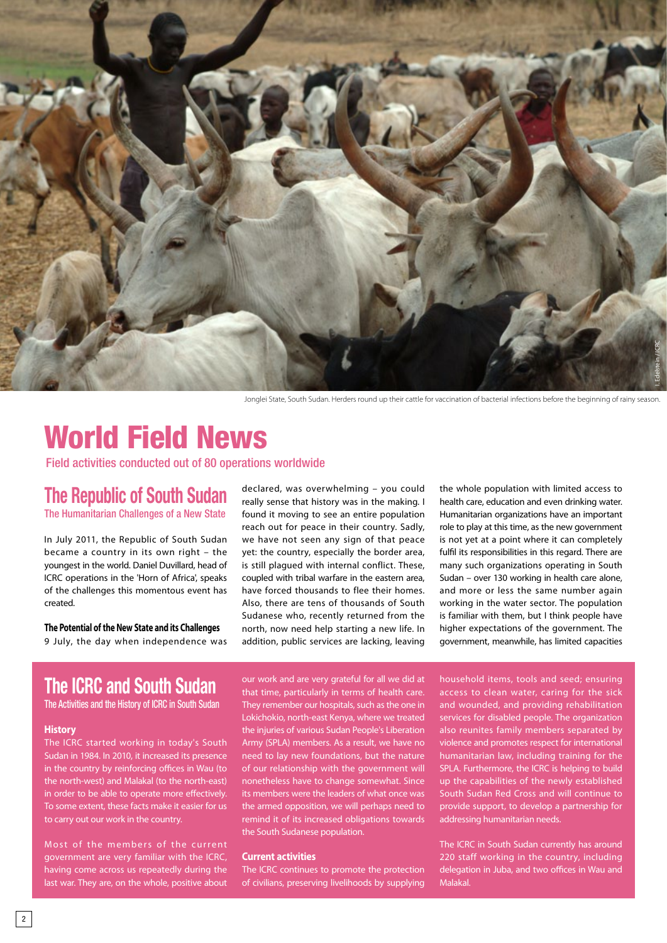

Jonglei State, South Sudan. Herders round up their cattle for vaccination of bacterial infections before the beginning of rainy season.

# World Field News

Field activities conducted out of 80 operations worldwide

## **The Republic of South Sudan** The Humanitarian Challenges of a New State

In July 2011, the Republic of South Sudan became a country in its own right – the youngest in the world. Daniel Duvillard, head of ICRC operations in the 'Horn of Africa', speaks of the challenges this momentous event has created.

**The Potential of the New State and its Challenges** 9 July, the day when independence was

declared, was overwhelming – you could really sense that history was in the making. I found it moving to see an entire population reach out for peace in their country. Sadly, we have not seen any sign of that peace yet: the country, especially the border area, is still plagued with internal conflict. These, coupled with tribal warfare in the eastern area, have forced thousands to flee their homes. Also, there are tens of thousands of South Sudanese who, recently returned from the north, now need help starting a new life. In addition, public services are lacking, leaving

the whole population with limited access to health care, education and even drinking water. Humanitarian organizations have an important role to play at this time, as the new government is not yet at a point where it can completely fulfil its responsibilities in this regard. There are many such organizations operating in South Sudan – over 130 working in health care alone, and more or less the same number again working in the water sector. The population is familiar with them, but I think people have higher expectations of the government. The government, meanwhile, has limited capacities

# **The ICRC and South Sudan**

The Activities and the History of ICRC in South Sudan

## **History**

The ICRC started working in today's South Sudan in 1984. In 2010, it increased its presence in the country by reinforcing offices in Wau (to the north-west) and Malakal (to the north-east) in order to be able to operate more effectively. To some extent, these facts make it easier for us to carry out our work in the country.

Most of the members of the current government are very familiar with the ICRC, having come across us repeatedly during the last war. They are, on the whole, positive about

our work and are very grateful for all we did at that time, particularly in terms of health care. They remember our hospitals, such as the one in Lokichokio, north-east Kenya, where we treated the injuries of various Sudan People's Liberation Army (SPLA) members. As a result, we have no need to lay new foundations, but the nature of our relationship with the government will nonetheless have to change somewhat. Since its members were the leaders of what once was the armed opposition, we will perhaps need to remind it of its increased obligations towards the South Sudanese population.

## **Current activities**

The ICRC continues to promote the protection of civilians, preserving livelihoods by supplying household items, tools and seed; ensuring access to clean water, caring for the sick and wounded, and providing rehabilitation services for disabled people. The organization also reunites family members separated by violence and promotes respect for international humanitarian law, including training for the SPLA. Furthermore, the ICRC is helping to build up the capabilities of the newly established South Sudan Red Cross and will continue to provide support, to develop a partnership for addressing humanitarian needs.

The ICRC in South Sudan currently has around 220 staff working in the country, including delegation in Juba, and two offices in Wau and Malakal.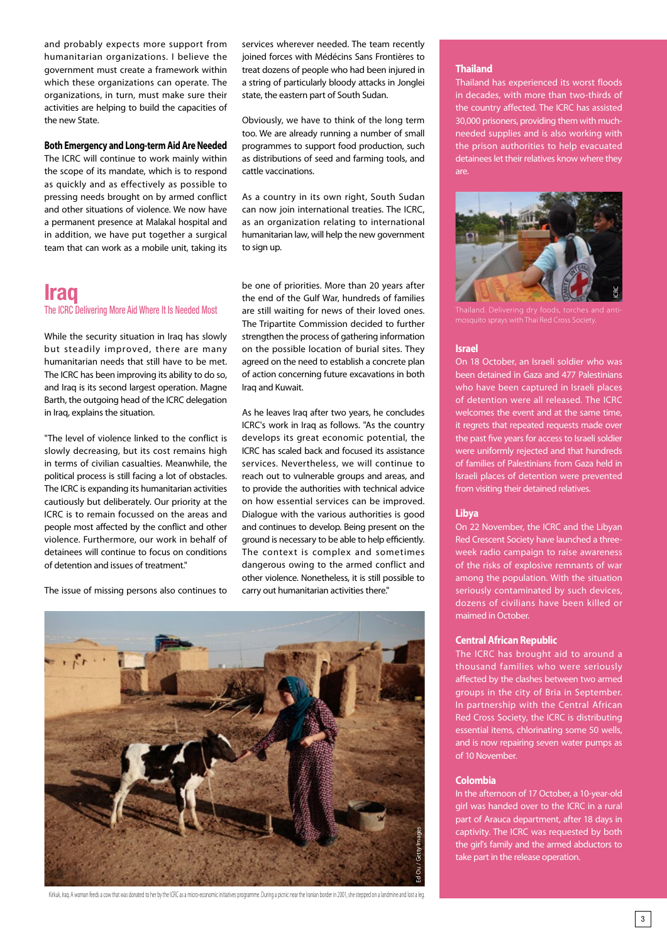and probably expects more support from humanitarian organizations. I believe the government must create a framework within which these organizations can operate. The organizations, in turn, must make sure their activities are helping to build the capacities of the new State.

## **Both Emergency and Long-term Aid Are Needed**

The ICRC will continue to work mainly within the scope of its mandate, which is to respond as quickly and as effectively as possible to pressing needs brought on by armed conflict and other situations of violence. We now have a permanent presence at Malakal hospital and in addition, we have put together a surgical team that can work as a mobile unit, taking its

## **Iraq**

## The ICRC Delivering More Aid Where It Is Needed Most

While the security situation in Iraq has slowly but steadily improved, there are many humanitarian needs that still have to be met. The ICRC has been improving its ability to do so, and Iraq is its second largest operation. Magne Barth, the outgoing head of the ICRC delegation in Iraq, explains the situation.

"The level of violence linked to the conflict is slowly decreasing, but its cost remains high in terms of civilian casualties. Meanwhile, the political process is still facing a lot of obstacles. The ICRC is expanding its humanitarian activities cautiously but deliberately. Our priority at the ICRC is to remain focussed on the areas and people most affected by the conflict and other violence. Furthermore, our work in behalf of detainees will continue to focus on conditions of detention and issues of treatment."

The issue of missing persons also continues to

services wherever needed. The team recently joined forces with Médécins Sans Frontières to treat dozens of people who had been injured in a string of particularly bloody attacks in Jonglei state, the eastern part of South Sudan.

Obviously, we have to think of the long term too. We are already running a number of small programmes to support food production, such as distributions of seed and farming tools, and cattle vaccinations.

As a country in its own right, South Sudan can now join international treaties. The ICRC, as an organization relating to international humanitarian law, will help the new government to sign up.

be one of priorities. More than 20 years after the end of the Gulf War, hundreds of families are still waiting for news of their loved ones. The Tripartite Commission decided to further strengthen the process of gathering information on the possible location of burial sites. They agreed on the need to establish a concrete plan of action concerning future excavations in both Iraq and Kuwait.

As he leaves Iraq after two years, he concludes ICRC's work in Iraq as follows. "As the country develops its great economic potential, the ICRC has scaled back and focused its assistance services. Nevertheless, we will continue to reach out to vulnerable groups and areas, and to provide the authorities with technical advice on how essential services can be improved. Dialogue with the various authorities is good and continues to develop. Being present on the ground is necessary to be able to help efficiently. The context is complex and sometimes dangerous owing to the armed conflict and other violence. Nonetheless, it is still possible to carry out humanitarian activities there."



Kirkuk, Iraq. A woman feeds a cow that was donated to her by the ICRC as a micro-economic initiatives programme. During a picnic near the Iranian border in 2001, she stepped on a landmine and lost a leg.

## **Thailand**

Thailand has experienced its worst floods in decades, with more than two-thirds of the country affected. The ICRC has assisted 30,000 prisoners, providing them with muchneeded supplies and is also working with the prison authorities to help evacuated detainees let their relatives know where they are.



### **Israel**

On 18 October, an Israeli soldier who was been detained in Gaza and 477 Palestinians who have been captured in Israeli places of detention were all released. The ICRC welcomes the event and at the same time, it regrets that repeated requests made over the past five years for access to Israeli soldier were uniformly rejected and that hundreds of families of Palestinians from Gaza held in Israeli places of detention were prevented from visiting their detained relatives.

## **Libya**

On 22 November, the ICRC and the Libyan Red Crescent Society have launched a threeweek radio campaign to raise awareness of the risks of explosive remnants of war among the population. With the situation seriously contaminated by such devices, dozens of civilians have been killed or maimed in October.

## **Central African Republic**

The ICRC has brought aid to around a thousand families who were seriously affected by the clashes between two armed groups in the city of Bria in September. In partnership with the Central African Red Cross Society, the ICRC is distributing essential items, chlorinating some 50 wells, and is now repairing seven water pumps as of 10 November.

### **Colombia**

In the afternoon of 17 October, a 10-year-old girl was handed over to the ICRC in a rural part of Arauca department, after 18 days in captivity. The ICRC was requested by both the girl's family and the armed abductors to take part in the release operation.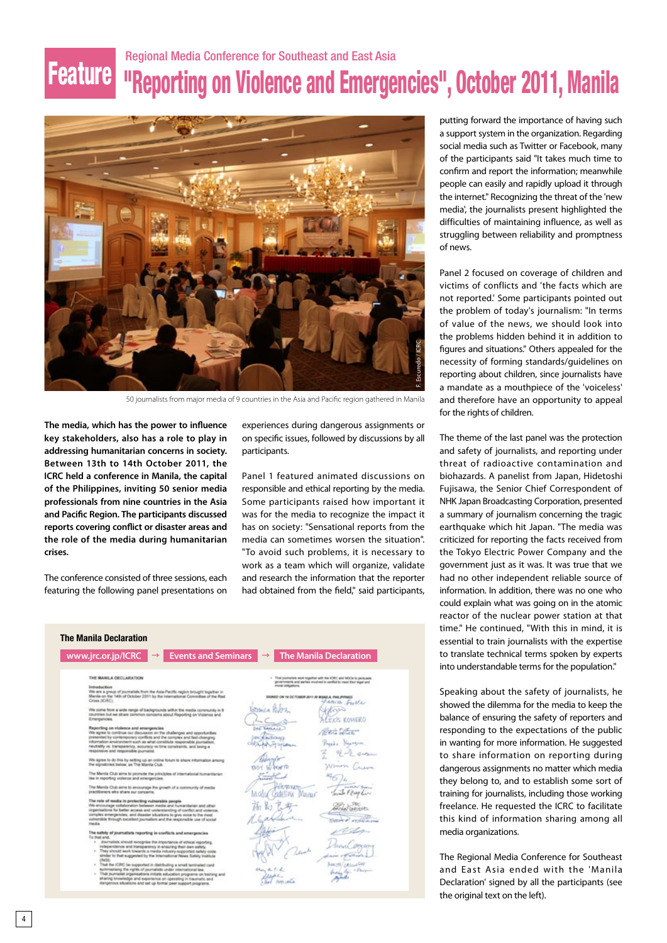# Regional Media Conference for Southeast and East Asia Feature **"Reporting on Violence and Emergencies", October 2011, Manila**



50 journalists from major media of 9 countries in the Asia and Pacific region gathered in Manila

**The media, which has the power to influence key stakeholders, also has a role to play in addressing humanitarian concerns in society. Between 13th to 14th October 2011, the ICRC held a conference in Manila, the capital of the Philippines, inviting 50 senior media professionals from nine countries in the Asia and Pacific Region. The participants discussed reports covering conflict or disaster areas and the role of the media during humanitarian crises.**

The conference consisted of three sessions, each featuring the following panel presentations on

experiences during dangerous assignments or on specific issues, followed by discussions by all participants.

Panel 1 featured animated discussions on responsible and ethical reporting by the media. Some participants raised how important it was for the media to recognize the impact it has on society: "Sensational reports from the media can sometimes worsen the situation". "To avoid such problems, it is necessary to work as a team which will organize, validate and research the information that the reporter had obtained from the field," said participants,

| <b>Events and Seminars</b><br>www.jrc.or.jp/ICRC<br>$\rightarrow$                                                                                                                                                                                                                                                                                                                        | <b>The Manila Declaration</b><br>$\rightarrow$                                                                                            |
|------------------------------------------------------------------------------------------------------------------------------------------------------------------------------------------------------------------------------------------------------------------------------------------------------------------------------------------------------------------------------------------|-------------------------------------------------------------------------------------------------------------------------------------------|
| THE MANILA DECLARATION                                                                                                                                                                                                                                                                                                                                                                   | - That journalists work together with the ICRC and NOOs to persuade<br>powromen's and parles involved in conflict to meet their legal and |
| <b>Introduction</b><br>We are a group of journalists from the Asia-Pacific region brought together in<br>Manila on the 14th of October 2011 by the International Committee of the Rad<br>Cross (ICRC)                                                                                                                                                                                    | moral skillpations.<br>SIGNISTIC ON 14 DCTOBER 2011 AV MANULA, PHILIPPINES<br>PARIS Fulle                                                 |
| We come from a wide range of backgrounds within the media community in 9<br>countries but we share common concerns about Reporting on Vicianos and<br>Emergencies.                                                                                                                                                                                                                       | Wetness Rt.<br><b>EXIS ROMERO</b>                                                                                                         |
| Reporting on violence and emergencies<br>We agree to continue our discussion on the challenges and opportunities.<br>presented by contemporary conflicts and the complex and fast-changing<br>information environment such as what constitute responsible journalism.<br>neutrality vs. transparency, accuracy vs time constraints, and being a<br>responsive and responsible journalist | <b>BANKALLO</b><br><b>Kristophere</b>                                                                                                     |
| We agree to do this by setting up an online forum to share information among<br>the signatories below, as The Manila Club.                                                                                                                                                                                                                                                               |                                                                                                                                           |
| The Manila Club aims to promote the principles of international humanitarian<br>lew in reporting violence and emergencies.                                                                                                                                                                                                                                                               |                                                                                                                                           |
| The Manila Club aims to encourage the growth of a community of media<br>practitioners who share our concerns.                                                                                                                                                                                                                                                                            | <b>ERVISION</b><br>$\frac{1}{2}$ + 3 ass<br>Margie                                                                                        |
| The role of modia in protecting vulnerable people<br>We encourage collaboration between media and humanitarian and other<br>organisations for better access and understanding of conflict and violence.<br>complex emergencies, and disaster situations to give voice to the most<br>vulnerable through excellent journalism and the responsible use of accial<br>media                  |                                                                                                                                           |
| The safety of journalists reporting in conflicts and emergencies<br>To that end.<br>- Journalists should recognise the importance of sthical resorting.<br>independence and transparency in ensuring their own safety.<br>- They should work towards a media industry-supported safety code<br>similar to that suggested by the International News Safety Institute                      | Lende<br><b>Hardware</b>                                                                                                                  |
| - That the ICRC be supported in distributing a small teninated card<br>summarising the rights of journalists under international law<br>- That journalist organisations initiate education programs on baining and<br>sharing knowledge and experience on operating in traumatic and<br>dangenous situations and set up formal peer support programs.                                    | <b>ANTELORIAL FRE</b><br>$=100$                                                                                                           |

putting forward the importance of having such a support system in the organization. Regarding social media such as Twitter or Facebook, many of the participants said "It takes much time to confirm and report the information; meanwhile people can easily and rapidly upload it through the internet." Recognizing the threat of the 'new media', the journalists present highlighted the difficulties of maintaining influence, as well as struggling between reliability and promptness of news.

Panel 2 focused on coverage of children and victims of conflicts and 'the facts which are not reported.' Some participants pointed out the problem of today's journalism: "In terms of value of the news, we should look into the problems hidden behind it in addition to figures and situations." Others appealed for the necessity of forming standards/guidelines on reporting about children, since journalists have a mandate as a mouthpiece of the 'voiceless' and therefore have an opportunity to appeal for the rights of children.

The theme of the last panel was the protection and safety of journalists, and reporting under threat of radioactive contamination and biohazards. A panelist from Japan, Hidetoshi Fujisawa, the Senior Chief Correspondent of NHK Japan Broadcasting Corporation, presented a summary of journalism concerning the tragic earthquake which hit Japan. "The media was criticized for reporting the facts received from the Tokyo Electric Power Company and the government just as it was. It was true that we had no other independent reliable source of information. In addition, there was no one who could explain what was going on in the atomic reactor of the nuclear power station at that time." He continued, "With this in mind, it is essential to train journalists with the expertise to translate technical terms spoken by experts into understandable terms for the population."

Speaking about the safety of journalists, he showed the dilemma for the media to keep the balance of ensuring the safety of reporters and responding to the expectations of the public in wanting for more information. He suggested to share information on reporting during dangerous assignments no matter which media they belong to, and to establish some sort of training for journalists, including those working freelance. He requested the ICRC to facilitate this kind of information sharing among all media organizations.

The Regional Media Conference for Southeast and East Asia ended with the 'Manila Declaration' signed by all the participants (see the original text on the left).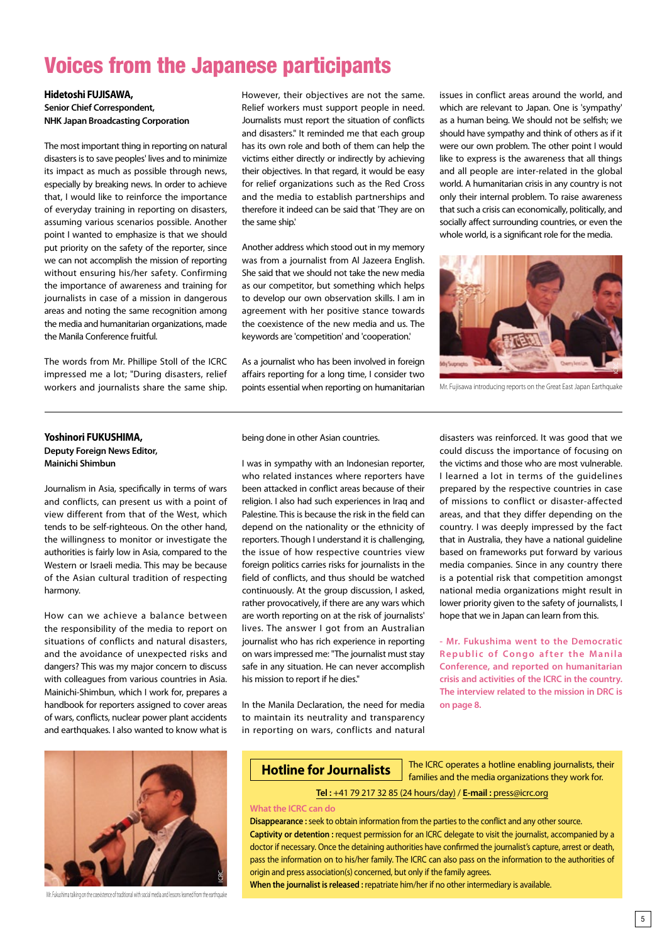## Voices from the Japanese participants

**Hidetoshi FUJISAWA, Senior Chief Correspondent, NHK Japan Broadcasting Corporation**

The most important thing in reporting on natural disasters is to save peoples' lives and to minimize its impact as much as possible through news, especially by breaking news. In order to achieve that, I would like to reinforce the importance of everyday training in reporting on disasters, assuming various scenarios possible. Another point I wanted to emphasize is that we should put priority on the safety of the reporter, since we can not accomplish the mission of reporting without ensuring his/her safety. Confirming the importance of awareness and training for journalists in case of a mission in dangerous areas and noting the same recognition among the media and humanitarian organizations, made the Manila Conference fruitful.

The words from Mr. Phillipe Stoll of the ICRC impressed me a lot; "During disasters, relief workers and journalists share the same ship.

However, their objectives are not the same. Relief workers must support people in need. Journalists must report the situation of conflicts and disasters." It reminded me that each group has its own role and both of them can help the victims either directly or indirectly by achieving their objectives. In that regard, it would be easy for relief organizations such as the Red Cross and the media to establish partnerships and therefore it indeed can be said that 'They are on the same ship.'

Another address which stood out in my memory was from a journalist from Al Jazeera English. She said that we should not take the new media as our competitor, but something which helps to develop our own observation skills. I am in agreement with her positive stance towards the coexistence of the new media and us. The keywords are 'competition' and 'cooperation.'

As a journalist who has been involved in foreign affairs reporting for a long time, I consider two points essential when reporting on humanitarian issues in conflict areas around the world, and which are relevant to Japan. One is 'sympathy' as a human being. We should not be selfish; we should have sympathy and think of others as if it were our own problem. The other point I would like to express is the awareness that all things and all people are inter-related in the global world. A humanitarian crisis in any country is not only their internal problem. To raise awareness that such a crisis can economically, politically, and socially affect surrounding countries, or even the whole world, is a significant role for the media.



Mr. Fujisawa introducing reports on the Great East Japan Earthquake

## **Yoshinori FUKUSHIMA, Deputy Foreign News Editor, Mainichi Shimbun**

Journalism in Asia, specifically in terms of wars and conflicts, can present us with a point of

view different from that of the West, which tends to be self-righteous. On the other hand, the willingness to monitor or investigate the authorities is fairly low in Asia, compared to the Western or Israeli media. This may be because of the Asian cultural tradition of respecting harmony.

How can we achieve a balance between the responsibility of the media to report on situations of conflicts and natural disasters, and the avoidance of unexpected risks and dangers? This was my major concern to discuss with colleagues from various countries in Asia. Mainichi-Shimbun, which I work for, prepares a handbook for reporters assigned to cover areas of wars, conflicts, nuclear power plant accidents and earthquakes. I also wanted to know what is



Mr. Fukushima talking on the coexistence of traditional with social media and lessons learned from the earthquake

being done in other Asian countries.

I was in sympathy with an Indonesian reporter, who related instances where reporters have been attacked in conflict areas because of their religion. I also had such experiences in Iraq and Palestine. This is because the risk in the field can depend on the nationality or the ethnicity of reporters. Though I understand it is challenging, the issue of how respective countries view foreign politics carries risks for journalists in the field of conflicts, and thus should be watched continuously. At the group discussion, I asked, rather provocatively, if there are any wars which are worth reporting on at the risk of journalists' lives. The answer I got from an Australian journalist who has rich experience in reporting on wars impressed me: "The journalist must stay safe in any situation. He can never accomplish his mission to report if he dies."

In the Manila Declaration, the need for media to maintain its neutrality and transparency in reporting on wars, conflicts and natural disasters was reinforced. It was good that we could discuss the importance of focusing on the victims and those who are most vulnerable. I learned a lot in terms of the guidelines prepared by the respective countries in case of missions to conflict or disaster-affected areas, and that they differ depending on the country. I was deeply impressed by the fact that in Australia, they have a national guideline based on frameworks put forward by various media companies. Since in any country there is a potential risk that competition amongst national media organizations might result in lower priority given to the safety of journalists, I hope that we in Japan can learn from this.

**- Mr. Fukushima went to the Democratic Republic of Congo after the Manila Conference, and reported on humanitarian crisis and activities of the ICRC in the country. The interview related to the mission in DRC is on page 8.**

## **Hotline for Journalists**

The ICRC operates a hotline enabling journalists, their families and the media organizations they work for.

**Tel :** +41 79 217 32 85 (24 hours/day) / **E-mail :** press@icrc.org

#### **What the ICRC can do**

**Disappearance :**seek to obtain information from the parties to the conflict and any other source. **Captivity or detention :** request permission for an ICRC delegate to visit the journalist, accompanied by a doctor if necessary. Once the detaining authorities have confirmed the journalist's capture, arrest or death, pass the information on to his/her family. The ICRC can also pass on the information to the authorities of origin and press association(s) concerned, but only if the family agrees.

**When the journalist is released :** repatriate him/her if no other intermediary is available.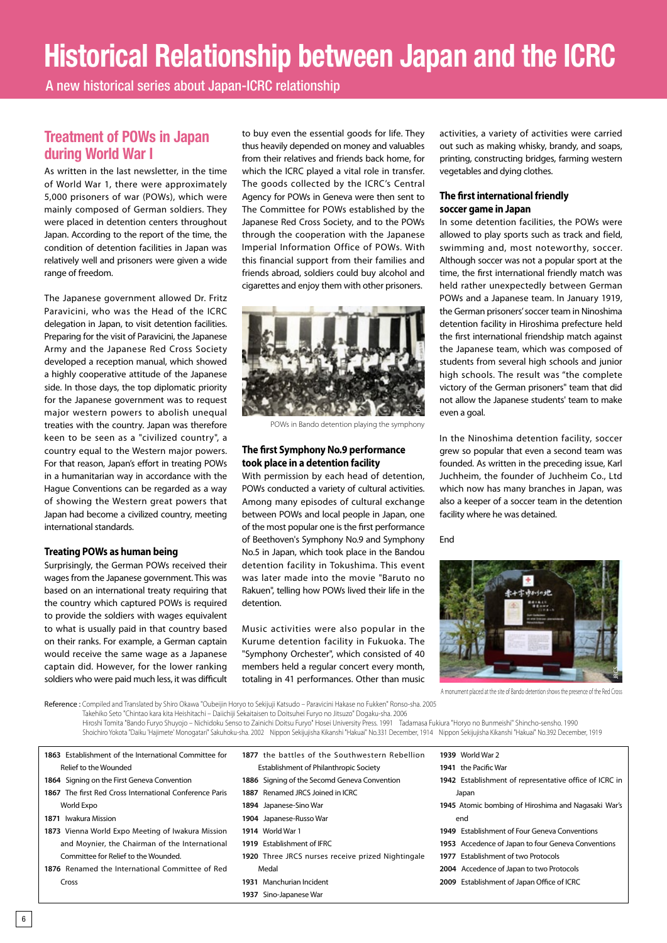# **Historical Relationship between Japan and the ICRC**

A new historical series about Japan-ICRC relationship

## **Treatment of POWs in Japan during World War I**

As written in the last newsletter, in the time of World War 1, there were approximately 5,000 prisoners of war (POWs), which were mainly composed of German soldiers. They were placed in detention centers throughout Japan. According to the report of the time, the condition of detention facilities in Japan was relatively well and prisoners were given a wide range of freedom.

The Japanese government allowed Dr. Fritz Paravicini, who was the Head of the ICRC delegation in Japan, to visit detention facilities. Preparing for the visit of Paravicini, the Japanese Army and the Japanese Red Cross Society developed a reception manual, which showed a highly cooperative attitude of the Japanese side. In those days, the top diplomatic priority for the Japanese government was to request major western powers to abolish unequal treaties with the country. Japan was therefore keen to be seen as a "civilized country", a country equal to the Western major powers. For that reason, Japan's effort in treating POWs in a humanitarian way in accordance with the Hague Conventions can be regarded as a way of showing the Western great powers that Japan had become a civilized country, meeting international standards.

## **Treating POWs as human being**

Surprisingly, the German POWs received their wages from the Japanese government. This was based on an international treaty requiring that the country which captured POWs is required to provide the soldiers with wages equivalent to what is usually paid in that country based on their ranks. For example, a German captain would receive the same wage as a Japanese captain did. However, for the lower ranking soldiers who were paid much less, it was difficult

to buy even the essential goods for life. They thus heavily depended on money and valuables from their relatives and friends back home, for which the ICRC played a vital role in transfer. The goods collected by the ICRC's Central Agency for POWs in Geneva were then sent to The Committee for POWs established by the Japanese Red Cross Society, and to the POWs through the cooperation with the Japanese Imperial Information Office of POWs. With this financial support from their families and friends abroad, soldiers could buy alcohol and cigarettes and enjoy them with other prisoners.



POWs in Bando detention playing the symphony

## **The first Symphony No.9 performance took place in a detention facility**

With permission by each head of detention, POWs conducted a variety of cultural activities. Among many episodes of cultural exchange between POWs and local people in Japan, one of the most popular one is the first performance of Beethoven's Symphony No.9 and Symphony No.5 in Japan, which took place in the Bandou detention facility in Tokushima. This event was later made into the movie "Baruto no Rakuen", telling how POWs lived their life in the detention.

Music activities were also popular in the Kurume detention facility in Fukuoka. The "Symphony Orchester", which consisted of 40 members held a regular concert every month, totaling in 41 performances. Other than music activities, a variety of activities were carried out such as making whisky, brandy, and soaps, printing, constructing bridges, farming western vegetables and dying clothes.

## **The first international friendly soccer game in Japan**

In some detention facilities, the POWs were allowed to play sports such as track and field, swimming and, most noteworthy, soccer. Although soccer was not a popular sport at the time, the first international friendly match was held rather unexpectedly between German POWs and a Japanese team. In January 1919, the German prisoners' soccer team in Ninoshima detention facility in Hiroshima prefecture held the first international friendship match against the Japanese team, which was composed of students from several high schools and junior high schools. The result was "the complete victory of the German prisoners" team that did not allow the Japanese students' team to make even a goal.

In the Ninoshima detention facility, soccer grew so popular that even a second team was founded. As written in the preceding issue, Karl Juchheim, the founder of Juchheim Co., Ltd which now has many branches in Japan, was also a keeper of a soccer team in the detention facility where he was detained.

End



A monument placed at the site of Bando detention shows the presence of the Red Cross

Reference : Compiled and Translated by Shiro Okawa "Oubeijin Horyo to Sekijuji Katsudo – Paravicini Hakase no Fukken" Ronso-sha. 2005 Takehiko Seto "Chintao kara kita Heishitachi – Daiichiji Sekaitaisen to Doitsuhei Furyo no Jitsuzo" Dogaku-sha. 2006 Hiroshi Tomita "Bando Furyo Shuyojo – Nichidoku Senso to Zainichi Doitsu Furyo" Hosei University Press. 1991 Tadamasa Fukiura "Horyo no Bunmeishi" Shincho-sensho. 1990

**1937** Sino-Japanese War

Shoichiro Yokota "Daiku 'Hajimete' Monogatari" Sakuhoku-sha. 2002 Nippon Sekijujisha Kikanshi "Hakuai" No.331 December, 1914 Nippon Sekijujisha Kikanshi "Hakuai" No.392 December, 1919

| 1863 Establishment of the International Committee for   | 1877 the battles of the Southwestern Rebellion    | 1939 World War 2                                       |
|---------------------------------------------------------|---------------------------------------------------|--------------------------------------------------------|
| Relief to the Wounded                                   | Establishment of Philanthropic Society            | 1941 the Pacific War                                   |
| 1864 Signing on the First Geneva Convention             | 1886 Signing of the Secomd Geneva Convention      | 1942 Establishment of representative office of ICRC in |
| 1867 The first Red Cross International Conference Paris | 1887 Renamed JRCS Joined in ICRC                  | Japan                                                  |
| World Expo                                              | 1894 Japanese-Sino War                            | 1945 Atomic bombing of Hiroshima and Nagasaki War's    |
| 1871 Iwakura Mission                                    | 1904 Japanese-Russo War                           | end                                                    |
| 1873 Vienna World Expo Meeting of Iwakura Mission       | <b>1914</b> World War 1                           | 1949 Establishment of Four Geneva Conventions          |
| and Moynier, the Chairman of the International          | 1919 Establishment of IFRC                        | 1953 Accedence of Japan to four Geneva Conventions     |
| Committee for Relief to the Wounded.                    | 1920 Three JRCS nurses receive prized Nightingale | 1977 Establishment of two Protocols                    |
| 1876 Renamed the International Committee of Red         | Medal                                             | 2004 Accedence of Japan to two Protocols               |
| Cross                                                   | 1931 Manchurian Incident                          | 2009 Establishment of Japan Office of ICRC             |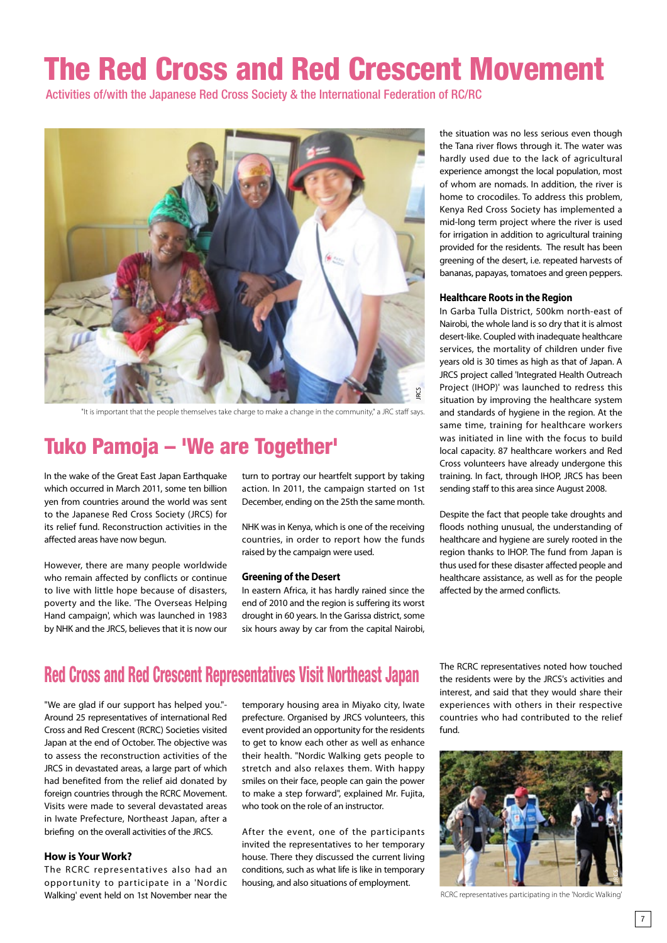# The Red Cross and Red Crescent Movement

Activities of/with the Japanese Red Cross Society & the International Federation of RC/RC



"It is important that the people themselves take charge to make a change in the community," a JRC staff says.

# Tuko Pamoja – 'We are Together'

In the wake of the Great East Japan Earthquake which occurred in March 2011, some ten billion yen from countries around the world was sent to the Japanese Red Cross Society (JRCS) for its relief fund. Reconstruction activities in the affected areas have now begun.

However, there are many people worldwide who remain affected by conflicts or continue to live with little hope because of disasters, poverty and the like. 'The Overseas Helping Hand campaign', which was launched in 1983 by NHK and the JRCS, believes that it is now our

turn to portray our heartfelt support by taking action. In 2011, the campaign started on 1st December, ending on the 25th the same month.

NHK was in Kenya, which is one of the receiving countries, in order to report how the funds raised by the campaign were used.

### **Greening of the Desert**

In eastern Africa, it has hardly rained since the end of 2010 and the region is suffering its worst drought in 60 years. In the Garissa district, some six hours away by car from the capital Nairobi,

the situation was no less serious even though the Tana river flows through it. The water was hardly used due to the lack of agricultural experience amongst the local population, most of whom are nomads. In addition, the river is home to crocodiles. To address this problem, Kenya Red Cross Society has implemented a mid-long term project where the river is used for irrigation in addition to agricultural training provided for the residents. The result has been greening of the desert, i.e. repeated harvests of bananas, papayas, tomatoes and green peppers.

### **Healthcare Roots in the Region**

In Garba Tulla District, 500km north-east of Nairobi, the whole land is so dry that it is almost desert-like. Coupled with inadequate healthcare services, the mortality of children under five years old is 30 times as high as that of Japan. A JRCS project called 'Integrated Health Outreach Project (IHOP)' was launched to redress this situation by improving the healthcare system and standards of hygiene in the region. At the same time, training for healthcare workers was initiated in line with the focus to build local capacity. 87 healthcare workers and Red Cross volunteers have already undergone this training. In fact, through IHOP, JRCS has been sending staff to this area since August 2008.

Despite the fact that people take droughts and floods nothing unusual, the understanding of healthcare and hygiene are surely rooted in the region thanks to IHOP. The fund from Japan is thus used for these disaster affected people and healthcare assistance, as well as for the people affected by the armed conflicts.

## Red Cross and Red Crescent Representatives Visit Northeast Japan

"We are glad if our support has helped you."- Around 25 representatives of international Red Cross and Red Crescent (RCRC) Societies visited Japan at the end of October. The objective was to assess the reconstruction activities of the JRCS in devastated areas, a large part of which had benefited from the relief aid donated by foreign countries through the RCRC Movement. Visits were made to several devastated areas in Iwate Prefecture, Northeast Japan, after a briefing on the overall activities of the JRCS.

## **How is Your Work?**

The RCRC representatives also had an opportunity to participate in a 'Nordic Walking' event held on 1st November near the

temporary housing area in Miyako city, Iwate prefecture. Organised by JRCS volunteers, this event provided an opportunity for the residents to get to know each other as well as enhance their health. "Nordic Walking gets people to stretch and also relaxes them. With happy smiles on their face, people can gain the power to make a step forward", explained Mr. Fujita, who took on the role of an instructor

After the event, one of the participants invited the representatives to her temporary house. There they discussed the current living conditions, such as what life is like in temporary housing, and also situations of employment.

The RCRC representatives noted how touched the residents were by the JRCS's activities and interest, and said that they would share their experiences with others in their respective countries who had contributed to the relief fund.



RCRC representatives participating in the 'Nordic Walking'